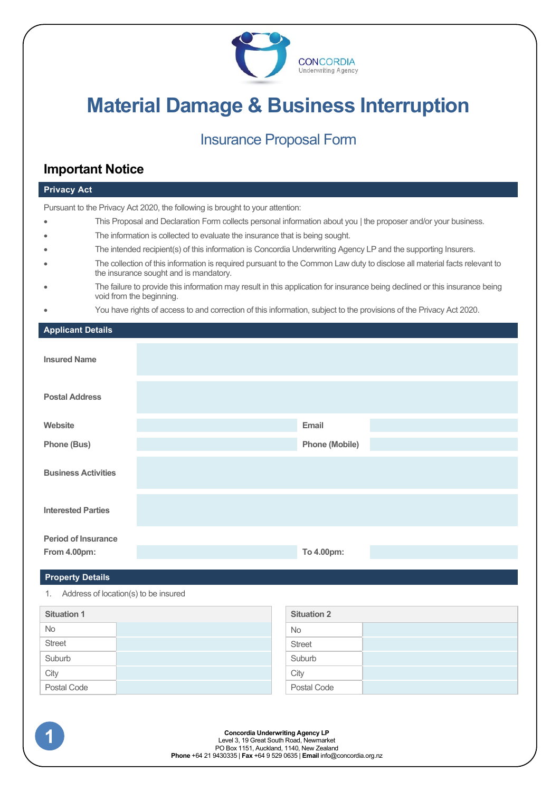

# **Material Damage & Business Interruption**

# Insurance Proposal Form

# **Important Notice**

# **Privacy Act** Pursuant to the Privacy Act 2020, the following is brought to your attention: • This Proposal and Declaration Form collects personal information about you | the proposer and/or your business. The information is collected to evaluate the insurance that is being sought. • The intended recipient(s) of this information is Concordia Underwriting Agency LP and the supporting Insurers. • The collection of this information is required pursuant to the Common Law duty to disclose all material facts relevant to the insurance sought and is mandatory. • The failure to provide this information may result in this application for insurance being declined or this insurance being void from the beginning. • You have rights of access to and correction of this information, subject to the provisions of the Privacy Act 2020. **Applicant Details Insured Name Postal Address Website Email Phone (Bus) Phone (Mobile) Business Activities Interested Parties Period of Insurance From 4.00pm: To 4.00pm:**

# **Property Details**

1. Address of location(s) to be insured

| <b>Situation 1</b> |  | <b>Situation 2</b> |  |
|--------------------|--|--------------------|--|
| <b>No</b>          |  | <b>No</b>          |  |
| <b>Street</b>      |  | <b>Street</b>      |  |
| Suburb             |  | Suburb             |  |
| City               |  | City               |  |
| Postal Code        |  | Postal Code        |  |

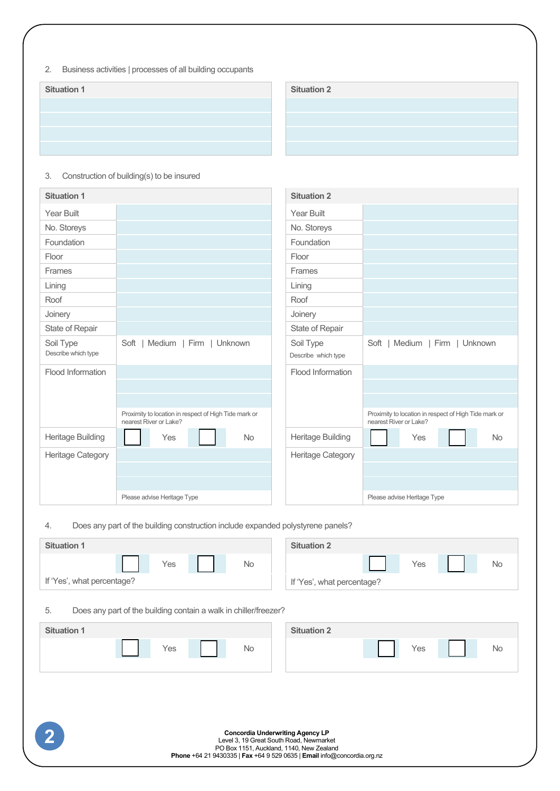2. Business activities | processes of all building occupants

| <b>Situation 2</b> |
|--------------------|

| <b>Situation 1</b>  |                                                                                 | <b>Situation 2</b>  |                                                                                 |  |  |
|---------------------|---------------------------------------------------------------------------------|---------------------|---------------------------------------------------------------------------------|--|--|
| <b>Year Built</b>   |                                                                                 | <b>Year Built</b>   |                                                                                 |  |  |
| No. Storeys         |                                                                                 | No. Storeys         |                                                                                 |  |  |
| Foundation          |                                                                                 | Foundation          |                                                                                 |  |  |
| Floor               |                                                                                 | Floor               |                                                                                 |  |  |
| Frames              |                                                                                 | Frames              |                                                                                 |  |  |
| Lining              |                                                                                 | Lining              |                                                                                 |  |  |
| Roof                |                                                                                 | Roof                |                                                                                 |  |  |
| Joinery             |                                                                                 | Joinery             |                                                                                 |  |  |
| State of Repair     |                                                                                 | State of Repair     |                                                                                 |  |  |
| Soil Type           | Soft $ $<br>Medium   Firm   Unknown                                             | Soil Type           | Soft<br>  Medium   Firm   Unknown                                               |  |  |
| Describe which type |                                                                                 | Describe which type |                                                                                 |  |  |
| Flood Information   |                                                                                 | Flood Information   |                                                                                 |  |  |
|                     |                                                                                 |                     |                                                                                 |  |  |
|                     |                                                                                 |                     |                                                                                 |  |  |
|                     | Proximity to location in respect of High Tide mark or<br>nearest River or Lake? |                     | Proximity to location in respect of High Tide mark or<br>nearest River or Lake? |  |  |
| Heritage Building   | <b>No</b><br>Yes                                                                | Heritage Building   | <b>No</b><br>Yes                                                                |  |  |
| Heritage Category   |                                                                                 | Heritage Category   |                                                                                 |  |  |
|                     |                                                                                 |                     |                                                                                 |  |  |
|                     |                                                                                 |                     |                                                                                 |  |  |
|                     | Please advise Heritage Type                                                     |                     | Please advise Heritage Type                                                     |  |  |

3. Construction of building(s) to be insured

4. Does any part of the building construction include expanded polystyrene panels?

| <b>Situation 1</b>                                                                                                                                                                                        | <b>Situation 2</b>         |  |  |  |  |  |  |
|-----------------------------------------------------------------------------------------------------------------------------------------------------------------------------------------------------------|----------------------------|--|--|--|--|--|--|
| Yes<br>No                                                                                                                                                                                                 | Yes<br><b>No</b>           |  |  |  |  |  |  |
| If 'Yes', what percentage?                                                                                                                                                                                | If 'Yes', what percentage? |  |  |  |  |  |  |
| 5.<br>Does any part of the building contain a walk in chiller/freezer?                                                                                                                                    |                            |  |  |  |  |  |  |
| <b>Situation 1</b>                                                                                                                                                                                        | <b>Situation 2</b>         |  |  |  |  |  |  |
| No<br>Yes                                                                                                                                                                                                 | Yes<br>No                  |  |  |  |  |  |  |
|                                                                                                                                                                                                           |                            |  |  |  |  |  |  |
|                                                                                                                                                                                                           |                            |  |  |  |  |  |  |
| <b>Concordia Underwriting Agency LP</b><br>Level 3, 19 Great South Road, Newmarket<br>PO Box 1151, Auckland, 1140, New Zealand<br>Phone +64 21 9430335   Fax +64 9 529 0635   Email info@concordia.org.nz |                            |  |  |  |  |  |  |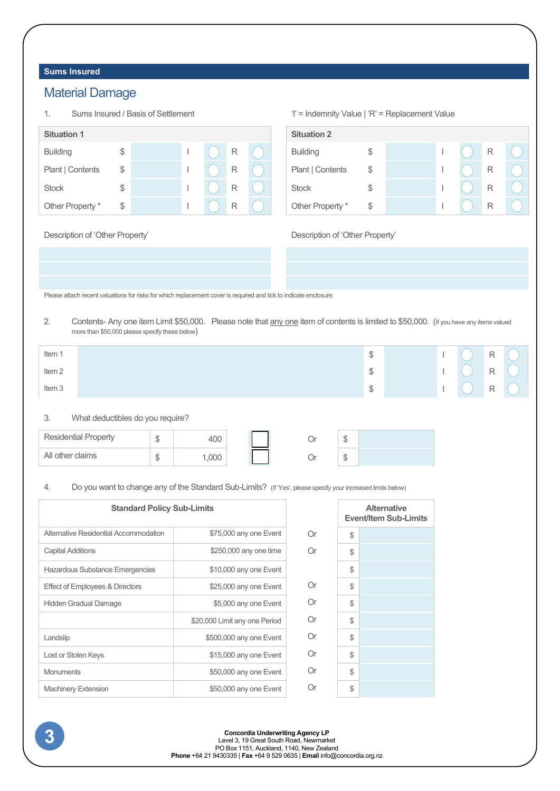# **Sums Insured**

# Material Damage

| 1.                 | Sums Insured / Basis of Settlement |  |  |   | 'l' = Indemnity Value   'R' = Replacement Value |                    |    |  |   |  |
|--------------------|------------------------------------|--|--|---|-------------------------------------------------|--------------------|----|--|---|--|
| <b>Situation 1</b> |                                    |  |  |   |                                                 | <b>Situation 2</b> |    |  |   |  |
| <b>Building</b>    |                                    |  |  | R |                                                 | <b>Building</b>    |    |  | R |  |
| Plant   Contents   | \$                                 |  |  | R |                                                 | Plant   Contents   | \$ |  | R |  |
| <b>Stock</b>       |                                    |  |  | R |                                                 | <b>Stock</b>       | \$ |  | R |  |
| Other Property *   | \$                                 |  |  | R |                                                 | Other Property *   | \$ |  | R |  |

#### Description of 'Other Property' Description of 'Other Property'

Please attach recent valuations for risks for which replacement cover is required and tick to indicate enclosure.

2. Contents- Any one item Limit \$50,000. Please note that any one item of contents is limited to \$50,000. (If you have any items valued more than \$50,000 please specify these below)

| Item 1 | \$     |  | $\mathsf{R}$ |  |
|--------|--------|--|--------------|--|
| Item 2 | ጦ<br>J |  | $\mathsf{R}$ |  |
| Item 3 | ሶ<br>D |  | $\mathsf{R}$ |  |
|        |        |  |              |  |

# 3. What deductibles do you require?

| <b>Residential Property</b> | Ψ | 400  |  | w |  |
|-----------------------------|---|------|--|---|--|
| All other claims            | Ψ | .000 |  | w |  |

## 4. Do you want to change any of the Standard Sub-Limits? (If 'Yes', please specify your increased limits below)

| <b>Standard Policy Sub-Limits</b>      |                               |    | <b>Alternative</b><br><b>Event/Item Sub-Limits</b> |  |
|----------------------------------------|-------------------------------|----|----------------------------------------------------|--|
| Alternative Residential Accommodation  | \$75,000 any one Event        | Or | \$                                                 |  |
| <b>Capital Additions</b>               | \$250,000 any one time        | Or | \$                                                 |  |
| <b>Hazardous Substance Emergencies</b> | \$10,000 any one Event        |    | \$                                                 |  |
| Effect of Employees & Directors        | \$25,000 any one Event        | Or | \$                                                 |  |
| <b>Hidden Gradual Damage</b>           | \$5,000 any one Event         | Or | \$                                                 |  |
|                                        | \$20,000 Limit any one Period | Or | \$                                                 |  |
| Landslip                               | \$500,000 any one Event       | Or | \$                                                 |  |
| Lost or Stolen Keys                    | \$15,000 any one Event        | Or | \$                                                 |  |
| <b>Monuments</b>                       | \$50,000 any one Event        | Or | \$                                                 |  |
| <b>Machinery Extension</b>             | \$50,000 any one Event        | Or | S                                                  |  |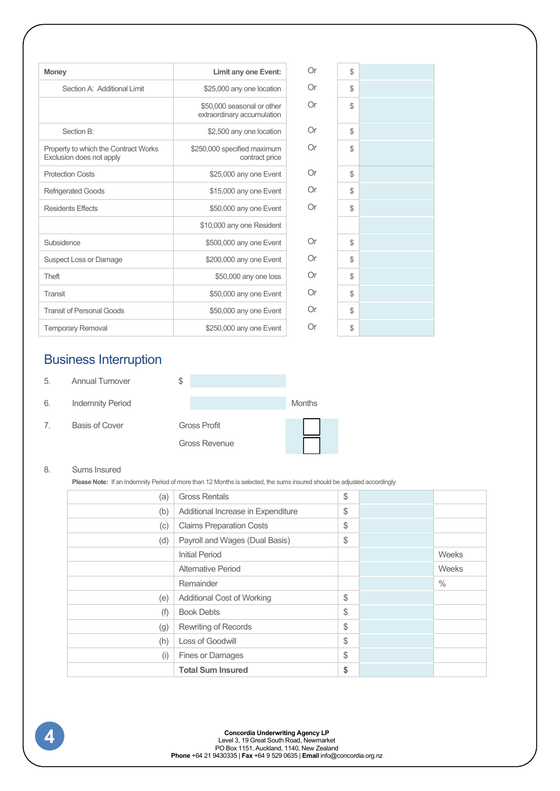| <b>Money</b>                                                     | Limit any one Event:                                     | Or  | $\mathbb{S}$ |  |
|------------------------------------------------------------------|----------------------------------------------------------|-----|--------------|--|
| Section A: Additional Limit                                      | \$25,000 any one location                                | Or  | $\mathbb{S}$ |  |
|                                                                  | \$50,000 seasonal or other<br>extraordinary accumulation | Or  | $\mathbb{S}$ |  |
| Section B:                                                       | \$2,500 any one location                                 | Or  | $\mathbb{S}$ |  |
| Property to which the Contract Works<br>Exclusion does not apply | \$250,000 specified maximum<br>contract price            | Or  | $\mathbb{S}$ |  |
| <b>Protection Costs</b>                                          | \$25,000 any one Event                                   | Or  | $\mathbb{S}$ |  |
| <b>Refrigerated Goods</b>                                        | \$15,000 any one Event                                   | Or  | $\mathbb{S}$ |  |
| <b>Residents Effects</b>                                         | \$50,000 any one Event                                   | Or  | $\mathbb{S}$ |  |
|                                                                  | \$10,000 any one Resident                                |     |              |  |
| Subsidence                                                       | \$500,000 any one Event                                  | Or  | $\mathbb{S}$ |  |
| <b>Suspect Loss or Damage</b>                                    | \$200,000 any one Event                                  | Or  | $\mathbb{S}$ |  |
| Theft                                                            | \$50,000 any one loss                                    | Or  | $\mathbb{S}$ |  |
| Transit                                                          | \$50,000 any one Event                                   | Or. | $\mathbb{S}$ |  |
| <b>Transit of Personal Goods</b>                                 | \$50,000 any one Event                                   | Or  | $\mathbb{S}$ |  |
| <b>Temporary Removal</b>                                         | \$250,000 any one Event                                  | Or  | $\mathbb{S}$ |  |
|                                                                  |                                                          |     |              |  |

# Business Interruption

| 5. | <b>Annual Turnover</b> | J |
|----|------------------------|---|
|----|------------------------|---|

- 6. Indemnity Period
- 7. Basis of Cover Gross Profit

Gross Revenue

| Months |  |
|--------|--|
|        |  |
|        |  |

# 8. Sums Insured

**Please Note:** If an Indemnity Period of more than 12 Months is selected, the sums insured should be adjusted accordingly

| (a) | <b>Gross Rentals</b>               | \$ |               |
|-----|------------------------------------|----|---------------|
| (b) | Additional Increase in Expenditure | \$ |               |
| (c) | <b>Claims Preparation Costs</b>    | \$ |               |
| (d) | Payroll and Wages (Dual Basis)     | \$ |               |
|     | <b>Initial Period</b>              |    | Weeks         |
|     | Alternative Period                 |    | <b>Weeks</b>  |
|     | Remainder                          |    | $\frac{0}{0}$ |
| (e) | Additional Cost of Working         | \$ |               |
| (f) | <b>Book Debts</b>                  | \$ |               |
| (g) | Rewriting of Records               | \$ |               |
| (h) | Loss of Goodwill                   | \$ |               |
| (i) | <b>Fines or Damages</b>            | \$ |               |
|     | <b>Total Sum Insured</b>           | \$ |               |
|     |                                    |    |               |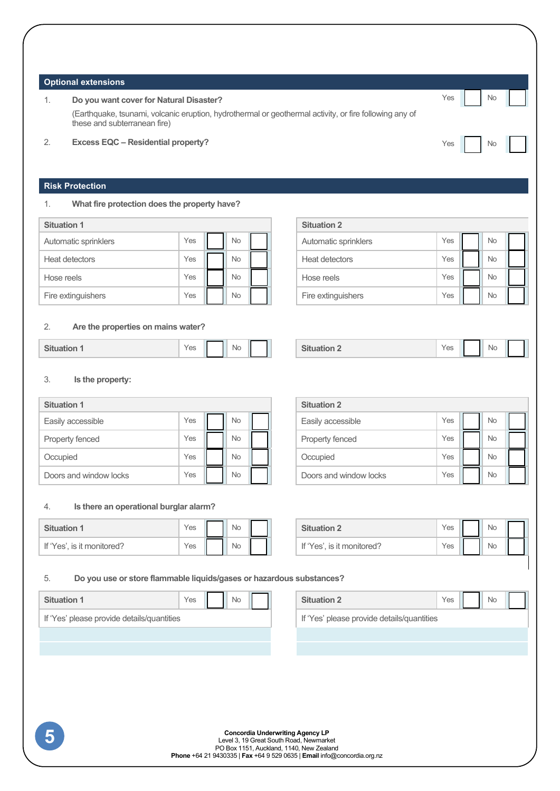#### **Optional extensions**

# 1. **Do you want cover for Natural Disaster?** Note that the state of the state of the Note of the Note of Note of the Note of Note of the Note of Note of Note of Note of Note of Note of Note of Note of Note of Note of Note

(Earthquake, tsunami, volcanic eruption, hydrothermal or geothermal activity, or fire following any of these and subterranean fire)

**Situation 1 Situation 2**

## 2. **Excess EQC – Residential property?** Note 2. **Excess EQC – Residential property?**

# **Risk Protection**

## 1. **What fire protection does the property have?**

| <b>Situation 1</b>   |     |  |           |  | <b>Situation 2</b>   |     |           |
|----------------------|-----|--|-----------|--|----------------------|-----|-----------|
| Automatic sprinklers | Yes |  | <b>No</b> |  | Automatic sprinklers | Yes | <b>Nc</b> |
| Heat detectors       | Yes |  | <b>No</b> |  | Heat detectors       | Yes | Nc        |
| Hose reels           | Yes |  | <b>No</b> |  | Hose reels           | Yes | <b>Nc</b> |
| Fire extinguishers   | Yes |  | <b>No</b> |  | Fire extinguishers   | Yes | <b>Nc</b> |

# 2. **Are the properties on mains water?**

|  | CH.<br>יים | Yes |  | <b>No</b> |  |  | -------<br>паноп<br>. | . .<br>Yes |  | Νc |
|--|------------|-----|--|-----------|--|--|-----------------------|------------|--|----|
|--|------------|-----|--|-----------|--|--|-----------------------|------------|--|----|

#### 3. **Is the property:**

| <b>Situation 1</b>     |     |           |  | <b>Situation 2</b>     |     |           |
|------------------------|-----|-----------|--|------------------------|-----|-----------|
| Easily accessible      | Yes | No        |  | Easily accessible      | Yes | <b>Nc</b> |
| Property fenced        | Yes | No        |  | Property fenced        | Yes | <b>Nc</b> |
| Occupied               | Yes | <b>No</b> |  | Occupied               | Yes | Nc        |
| Doors and window locks | Yes | <b>No</b> |  | Doors and window locks | Yes | Nc        |

#### 4. **Is there an operational burglar alarm?**

|                            | Yes | <b>No</b> |  | <b>Situation 2</b>           | Yes | Nc |
|----------------------------|-----|-----------|--|------------------------------|-----|----|
| If 'Yes', is it monitored? | Yes | <b>No</b> |  | If 'Yes'<br>is it monitored? | Yes | Nc |

# Fire extinguishers  $\vert$  Yes  $\vert$  No

| <b>Situation 2</b> | ဗဒ | No |  |
|--------------------|----|----|--|
|--------------------|----|----|--|

| <b>Situation 2</b>     |     |           |  |
|------------------------|-----|-----------|--|
| Easily accessible      | Yes | <b>No</b> |  |
| Property fenced        | Yes | <b>No</b> |  |
| Occupied               | Yes | <b>No</b> |  |
| Doors and window locks | Yes | No        |  |

| <b>Situation 2</b>         | es  |  |  |
|----------------------------|-----|--|--|
| If 'Yes', is it monitored? | 'es |  |  |

## 5. **Do you use or store flammable liquids/gases or hazardous substances?**

| <b>Situation 1</b>                         | Yes | <b>No</b> | <b>Situation 2</b>                         | Yes, | <b>Nc</b> |
|--------------------------------------------|-----|-----------|--------------------------------------------|------|-----------|
| If 'Yes' please provide details/quantities |     |           | If 'Yes' please provide details/quantities |      |           |

| <b>Situation 2</b>                         |  |  |  |
|--------------------------------------------|--|--|--|
| If 'Yes' please provide details/quantities |  |  |  |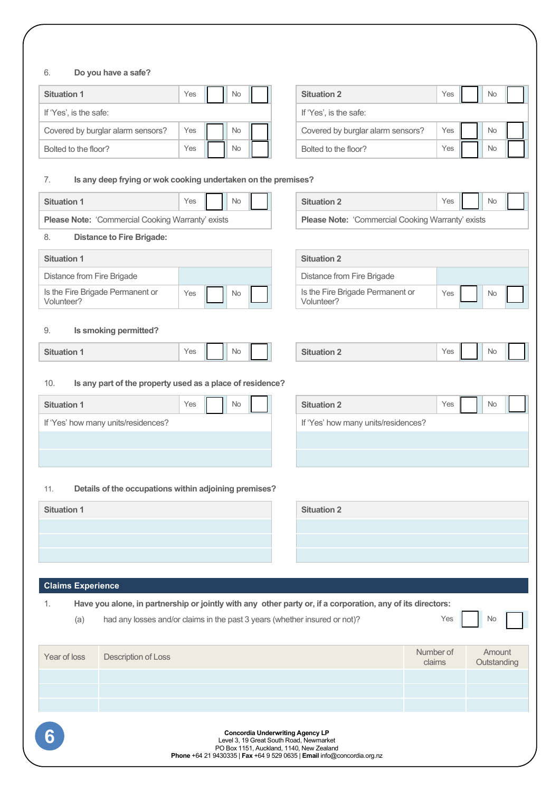# 6. **Do you have a safe?**

| <b>Situation 1</b>                | Yes | <b>No</b> |           | <b>Situation 2</b> | Yes                               | <b>Nc</b> |    |
|-----------------------------------|-----|-----------|-----------|--------------------|-----------------------------------|-----------|----|
| If 'Yes', is the safe:            |     |           |           |                    | If 'Yes', is the safe:            |           |    |
| Covered by burglar alarm sensors? | Yes |           | No        |                    | Covered by burglar alarm sensors? | Yes       | Nc |
| Bolted to the floor?              | Yes |           | <b>No</b> |                    | Bolted to the floor?              | Yes       | Nc |

| <b>Situation 2</b>                | Yes | <b>No</b> |  |
|-----------------------------------|-----|-----------|--|
| If 'Yes', is the safe:            |     |           |  |
| Covered by burglar alarm sensors? | Yes | <b>No</b> |  |
| Bolted to the floor?              | Yes | No        |  |

H

# 7. **Is any deep frying or wok cooking undertaken on the premises?**

| $1000$ $\mu$ $1190$ $\sigma$ $1100$                                                                              |                                                             |  |  |  |  |  |  |  |  |
|------------------------------------------------------------------------------------------------------------------|-------------------------------------------------------------|--|--|--|--|--|--|--|--|
| <b>Situation 1</b><br>Yes<br>No                                                                                  | <b>Situation 2</b><br>Yes<br><b>No</b>                      |  |  |  |  |  |  |  |  |
| Please Note: 'Commercial Cooking Warranty' exists                                                                | Please Note: 'Commercial Cooking Warranty' exists           |  |  |  |  |  |  |  |  |
| <b>Distance to Fire Brigade:</b><br>8.                                                                           |                                                             |  |  |  |  |  |  |  |  |
| <b>Situation 1</b>                                                                                               | <b>Situation 2</b>                                          |  |  |  |  |  |  |  |  |
| Distance from Fire Brigade                                                                                       | Distance from Fire Brigade                                  |  |  |  |  |  |  |  |  |
| Is the Fire Brigade Permanent or<br>Yes<br>No<br>Volunteer?                                                      | Is the Fire Brigade Permanent or<br>Yes<br>No<br>Volunteer? |  |  |  |  |  |  |  |  |
| Is smoking permitted?<br>9.                                                                                      |                                                             |  |  |  |  |  |  |  |  |
| <b>Situation 1</b><br>Yes<br>No                                                                                  | <b>Situation 2</b><br>No<br>Yes                             |  |  |  |  |  |  |  |  |
| Is any part of the property used as a place of residence?<br>10.                                                 |                                                             |  |  |  |  |  |  |  |  |
| Yes<br><b>Situation 1</b><br>No                                                                                  | <b>Situation 2</b><br>Yes<br>No                             |  |  |  |  |  |  |  |  |
| If 'Yes' how many units/residences?                                                                              | If 'Yes' how many units/residences?                         |  |  |  |  |  |  |  |  |
|                                                                                                                  |                                                             |  |  |  |  |  |  |  |  |
|                                                                                                                  |                                                             |  |  |  |  |  |  |  |  |
| Details of the occupations within adjoining premises?<br>11.                                                     |                                                             |  |  |  |  |  |  |  |  |
| <b>Situation 1</b>                                                                                               | <b>Situation 2</b>                                          |  |  |  |  |  |  |  |  |
|                                                                                                                  |                                                             |  |  |  |  |  |  |  |  |
|                                                                                                                  |                                                             |  |  |  |  |  |  |  |  |
|                                                                                                                  |                                                             |  |  |  |  |  |  |  |  |
| <b>Claims Experience</b>                                                                                         |                                                             |  |  |  |  |  |  |  |  |
| Have you alone, in partnership or jointly with any other party or, if a corporation, any of its directors:<br>1. |                                                             |  |  |  |  |  |  |  |  |
| had any losses and/or claims in the past 3 years (whether insured or not)?<br>Yes<br><b>No</b><br>(a)            |                                                             |  |  |  |  |  |  |  |  |

| Year of loss | Description of Loss                                                                                                                                                                                       | Number of<br>claims | Amount<br>Outstanding |
|--------------|-----------------------------------------------------------------------------------------------------------------------------------------------------------------------------------------------------------|---------------------|-----------------------|
|              |                                                                                                                                                                                                           |                     |                       |
|              |                                                                                                                                                                                                           |                     |                       |
|              |                                                                                                                                                                                                           |                     |                       |
| 6            | <b>Concordia Underwriting Agency LP</b><br>Level 3, 19 Great South Road, Newmarket<br>PO Box 1151, Auckland, 1140, New Zealand<br>Phone +64 21 9430335   Fax +64 9 529 0635   Email info@concordia.org.nz |                     |                       |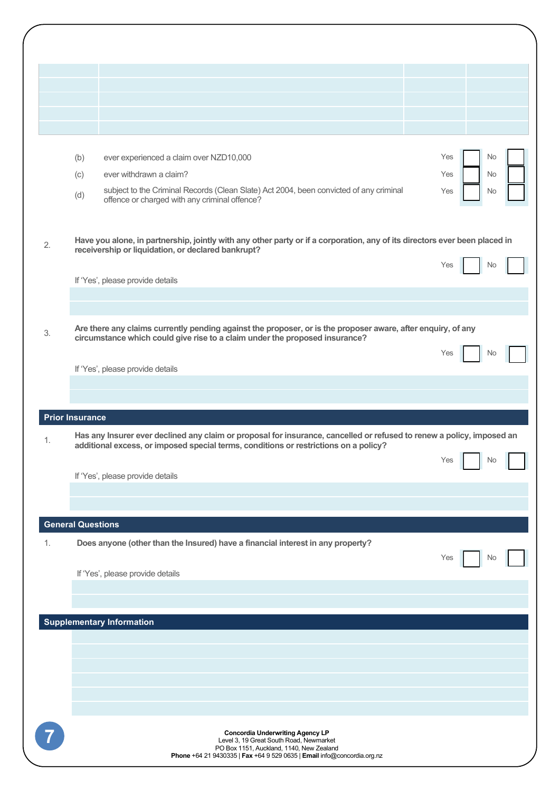|    | ever experienced a claim over NZD10,000<br>(b)                                                                                                                                              | Yes        | No             |  |
|----|---------------------------------------------------------------------------------------------------------------------------------------------------------------------------------------------|------------|----------------|--|
|    | ever withdrawn a claim?<br>(c)<br>subject to the Criminal Records (Clean Slate) Act 2004, been convicted of any criminal                                                                    | Yes<br>Yes | No<br>No       |  |
|    | (d)<br>offence or charged with any criminal offence?                                                                                                                                        |            |                |  |
|    |                                                                                                                                                                                             |            |                |  |
| 2. | Have you alone, in partnership, jointly with any other party or if a corporation, any of its directors ever been placed in<br>receivership or liquidation, or declared bankrupt?            |            |                |  |
|    | If 'Yes', please provide details                                                                                                                                                            | Yes        | No.            |  |
|    |                                                                                                                                                                                             |            |                |  |
|    |                                                                                                                                                                                             |            |                |  |
| 3. | Are there any claims currently pending against the proposer, or is the proposer aware, after enquiry, of any<br>circumstance which could give rise to a claim under the proposed insurance? |            |                |  |
|    | If 'Yes', please provide details                                                                                                                                                            | Yes        | No.            |  |
|    |                                                                                                                                                                                             |            |                |  |
|    | <b>Prior Insurance</b>                                                                                                                                                                      |            |                |  |
| 1. | Has any Insurer ever declined any claim or proposal for insurance, cancelled or refused to renew a policy, imposed an                                                                       |            |                |  |
|    | additional excess, or imposed special terms, conditions or restrictions on a policy?                                                                                                        | Yes        | No             |  |
|    | If 'Yes', please provide details                                                                                                                                                            |            |                |  |
|    |                                                                                                                                                                                             |            |                |  |
|    | <b>General Questions</b>                                                                                                                                                                    |            |                |  |
| 1. | Does anyone (other than the Insured) have a financial interest in any property?                                                                                                             |            |                |  |
|    | If 'Yes', please provide details                                                                                                                                                            | Yes        | N <sub>0</sub> |  |
|    |                                                                                                                                                                                             |            |                |  |
|    | <b>Supplementary Information</b>                                                                                                                                                            |            |                |  |
|    |                                                                                                                                                                                             |            |                |  |
|    |                                                                                                                                                                                             |            |                |  |
|    |                                                                                                                                                                                             |            |                |  |
|    |                                                                                                                                                                                             |            |                |  |
|    | <b>Concordia Underwriting Agency LP</b><br>Level 3, 19 Great South Road, Newmarket                                                                                                          |            |                |  |
|    | PO Box 1151, Auckland, 1140, New Zealand<br>Phone +64 21 9430335   Fax +64 9 529 0635   Email info@concordia.org.nz                                                                         |            |                |  |
|    |                                                                                                                                                                                             |            |                |  |